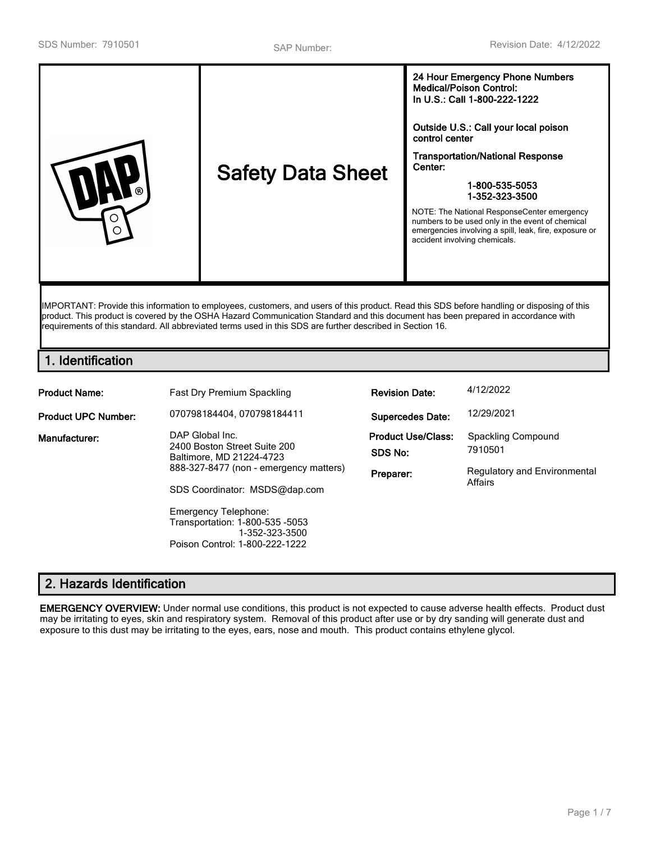|--|

IMPORTANT: Provide this information to employees, customers, and users of this product. Read this SDS before handling or disposing of this product. This product is covered by the OSHA Hazard Communication Standard and this document has been prepared in accordance with requirements of this standard. All abbreviated terms used in this SDS are further described in Section 16.

# **1. Identification**

| <b>Product Name:</b>       | <b>Fast Dry Premium Spackling</b>                                                                           | <b>Revision Date:</b>                | 4/12/2022                                      |
|----------------------------|-------------------------------------------------------------------------------------------------------------|--------------------------------------|------------------------------------------------|
| <b>Product UPC Number:</b> | 070798184404.070798184411                                                                                   | <b>Supercedes Date:</b>              | 12/29/2021                                     |
| Manufacturer:              | DAP Global Inc.<br>2400 Boston Street Suite 200<br>Baltimore, MD 21224-4723                                 | <b>Product Use/Class:</b><br>SDS No: | Spackling Compound<br>7910501                  |
|                            | 888-327-8477 (non - emergency matters)<br>SDS Coordinator: MSDS@dap.com                                     | Preparer:                            | <b>Regulatory and Environmental</b><br>Affairs |
|                            | Emergency Telephone:<br>Transportation: 1-800-535 -5053<br>1-352-323-3500<br>Poison Control: 1-800-222-1222 |                                      |                                                |

# **2. Hazards Identification**

**EMERGENCY OVERVIEW:** Under normal use conditions, this product is not expected to cause adverse health effects. Product dust may be irritating to eyes, skin and respiratory system. Removal of this product after use or by dry sanding will generate dust and exposure to this dust may be irritating to the eyes, ears, nose and mouth. This product contains ethylene glycol.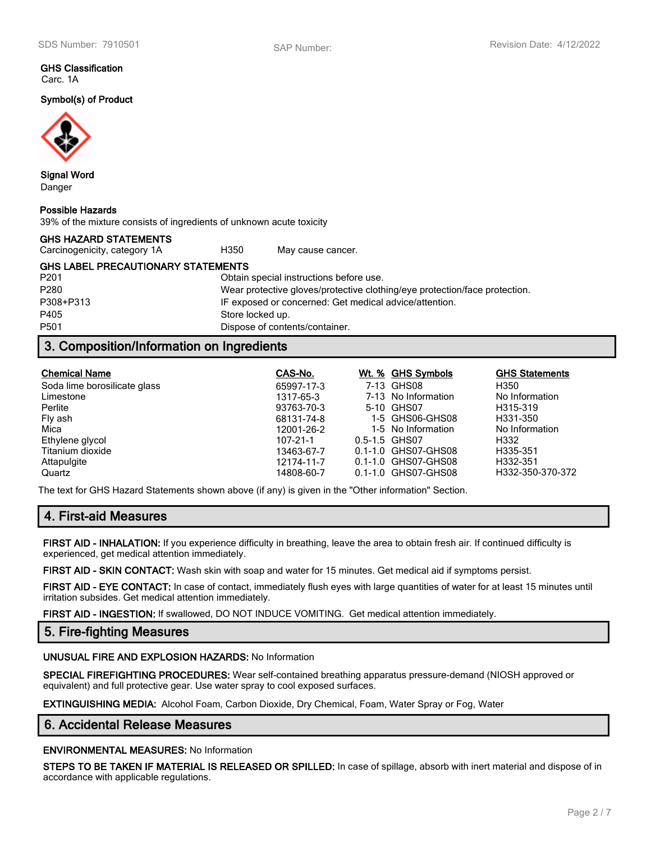### **GHS Classification** Carc. 1A

**Symbol(s) of Product**



**Signal Word** Danger

### **Possible Hazards**

39% of the mixture consists of ingredients of unknown acute toxicity

| <b>GHS HAZARD STATEMENTS</b>      |  |
|-----------------------------------|--|
| Construction is the contract of A |  |

Carcinogenicity, category 1A <br>
H350 May cause cancer.

**GHS LABEL PRECAUTIONARY STATEMENTS**

P201 Obtain special instructions before use. P280 Wear protective gloves/protective clothing/eye protection/face protection. P308+P313 IF exposed or concerned: Get medical advice/attention. P405 Store locked up. P501 Dispose of contents/container.

# **3. Composition/Information on Ingredients**

| <b>Chemical Name</b>         | CAS-No.    | Wt. % GHS Symbols   | <b>GHS Statements</b> |
|------------------------------|------------|---------------------|-----------------------|
| Soda lime borosilicate glass | 65997-17-3 | 7-13 GHS08          | H350                  |
| Limestone                    | 1317-65-3  | 7-13 No Information | No Information        |
| Perlite                      | 93763-70-3 | 5-10 GHS07          | H315-319              |
| Fly ash                      | 68131-74-8 | 1-5 GHS06-GHS08     | H331-350              |
| Mica                         | 12001-26-2 | 1-5 No Information  | No Information        |
| Ethylene glycol              | 107-21-1   | 0.5-1.5 GHS07       | H332                  |
| Titanium dioxide             | 13463-67-7 | 0.1-1.0 GHS07-GHS08 | H335-351              |
| Attapulgite                  | 12174-11-7 | 0.1-1.0 GHS07-GHS08 | H332-351              |
| Quartz                       | 14808-60-7 | 0.1-1.0 GHS07-GHS08 | H332-350-370-372      |

The text for GHS Hazard Statements shown above (if any) is given in the "Other information" Section.

# **4. First-aid Measures**

**FIRST AID - INHALATION:** If you experience difficulty in breathing, leave the area to obtain fresh air. If continued difficulty is experienced, get medical attention immediately.

**FIRST AID - SKIN CONTACT:** Wash skin with soap and water for 15 minutes. Get medical aid if symptoms persist.

**FIRST AID - EYE CONTACT:** In case of contact, immediately flush eyes with large quantities of water for at least 15 minutes until irritation subsides. Get medical attention immediately.

**FIRST AID - INGESTION:** If swallowed, DO NOT INDUCE VOMITING. Get medical attention immediately.

## **5. Fire-fighting Measures**

### **UNUSUAL FIRE AND EXPLOSION HAZARDS:** No Information

**SPECIAL FIREFIGHTING PROCEDURES:** Wear self-contained breathing apparatus pressure-demand (NIOSH approved or equivalent) and full protective gear. Use water spray to cool exposed surfaces.

**EXTINGUISHING MEDIA:** Alcohol Foam, Carbon Dioxide, Dry Chemical, Foam, Water Spray or Fog, Water

## **6. Accidental Release Measures**

**ENVIRONMENTAL MEASURES:** No Information

**STEPS TO BE TAKEN IF MATERIAL IS RELEASED OR SPILLED:** In case of spillage, absorb with inert material and dispose of in accordance with applicable regulations.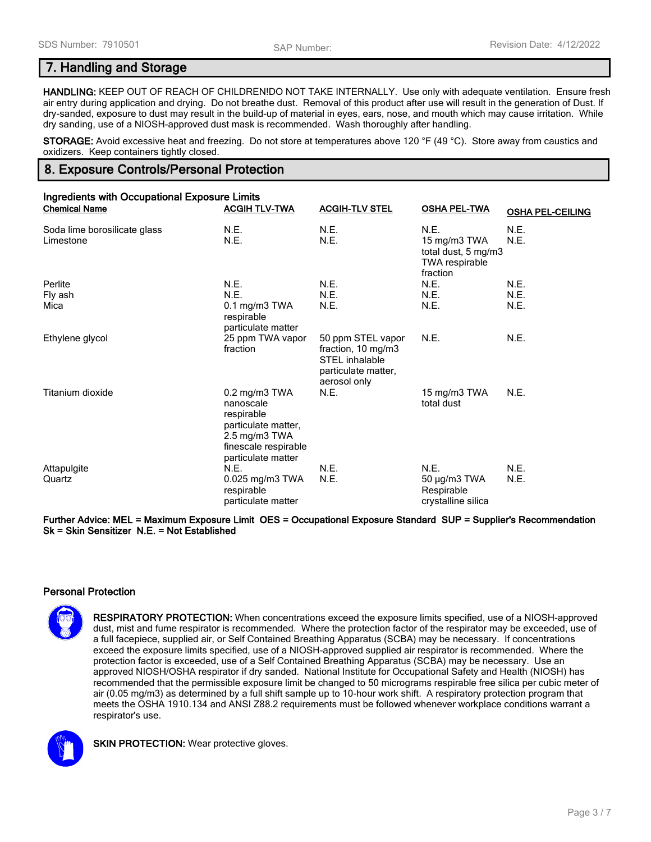## **7. Handling and Storage**

**HANDLING:** KEEP OUT OF REACH OF CHILDREN!DO NOT TAKE INTERNALLY. Use only with adequate ventilation. Ensure fresh air entry during application and drying. Do not breathe dust. Removal of this product after use will result in the generation of Dust. If dry-sanded, exposure to dust may result in the build-up of material in eyes, ears, nose, and mouth which may cause irritation. While dry sanding, use of a NIOSH-approved dust mask is recommended. Wash thoroughly after handling.

**STORAGE:** Avoid excessive heat and freezing. Do not store at temperatures above 120 °F (49 °C). Store away from caustics and oxidizers. Keep containers tightly closed.

# **8. Exposure Controls/Personal Protection**

| <b>Ingredients with Occupational Exposure Limits</b> |                                                                                                                                                          |                                                                                                  |                                                                           |                         |  |
|------------------------------------------------------|----------------------------------------------------------------------------------------------------------------------------------------------------------|--------------------------------------------------------------------------------------------------|---------------------------------------------------------------------------|-------------------------|--|
| <b>Chemical Name</b>                                 | <b>ACGIH TLV-TWA</b>                                                                                                                                     | <b>ACGIH-TLV STEL</b>                                                                            | <b>OSHA PEL-TWA</b>                                                       | <b>OSHA PEL-CEILING</b> |  |
| Soda lime borosilicate glass<br>Limestone            | N.E.<br>N.E.                                                                                                                                             | N.E.<br>N.E.                                                                                     | N.E.<br>15 mg/m3 TWA<br>total dust, 5 mg/m3<br>TWA respirable<br>fraction | N.E.<br>N.E.            |  |
| Perlite                                              | N.E.                                                                                                                                                     | N.E.                                                                                             | N.E.                                                                      | N.E.                    |  |
| Fly ash                                              | N.E.                                                                                                                                                     | N.E.                                                                                             | N.E.                                                                      | N.E.                    |  |
| Mica                                                 | 0.1 mg/m3 TWA<br>respirable<br>particulate matter                                                                                                        | N.E.                                                                                             | N.E.                                                                      | N.E.                    |  |
| Ethylene glycol                                      | 25 ppm TWA vapor<br>fraction                                                                                                                             | 50 ppm STEL vapor<br>fraction, 10 mg/m3<br>STEL inhalable<br>particulate matter,<br>aerosol only | N.E.                                                                      | N.E.                    |  |
| Titanium dioxide                                     | $0.2$ mg/m $3$ TWA<br>nanoscale<br>respirable<br>particulate matter,<br>$2.5 \text{ mg/m}$ $3 \text{ TWA}$<br>finescale respirable<br>particulate matter | N.E.                                                                                             | 15 mg/m3 TWA<br>total dust                                                | N.E.                    |  |
| Attapulgite                                          | N.E.                                                                                                                                                     | N.E.                                                                                             | N.E.                                                                      | N.E.                    |  |
| Quartz                                               | $0.025$ mg/m3 TWA<br>respirable<br>particulate matter                                                                                                    | N.E.                                                                                             | $50 \mu g/m3$ TWA<br>Respirable<br>crystalline silica                     | N.E.                    |  |

### **Further Advice: MEL = Maximum Exposure Limit OES = Occupational Exposure Standard SUP = Supplier's Recommendation Sk = Skin Sensitizer N.E. = Not Established**

### **Personal Protection**

**RESPIRATORY PROTECTION:** When concentrations exceed the exposure limits specified, use of a NIOSH-approved dust, mist and fume respirator is recommended. Where the protection factor of the respirator may be exceeded, use of a full facepiece, supplied air, or Self Contained Breathing Apparatus (SCBA) may be necessary. If concentrations exceed the exposure limits specified, use of a NIOSH-approved supplied air respirator is recommended. Where the protection factor is exceeded, use of a Self Contained Breathing Apparatus (SCBA) may be necessary. Use an approved NIOSH/OSHA respirator if dry sanded. National Institute for Occupational Safety and Health (NIOSH) has recommended that the permissible exposure limit be changed to 50 micrograms respirable free silica per cubic meter of air (0.05 mg/m3) as determined by a full shift sample up to 10-hour work shift. A respiratory protection program that meets the OSHA 1910.134 and ANSI Z88.2 requirements must be followed whenever workplace conditions warrant a respirator's use.



**SKIN PROTECTION:** Wear protective gloves.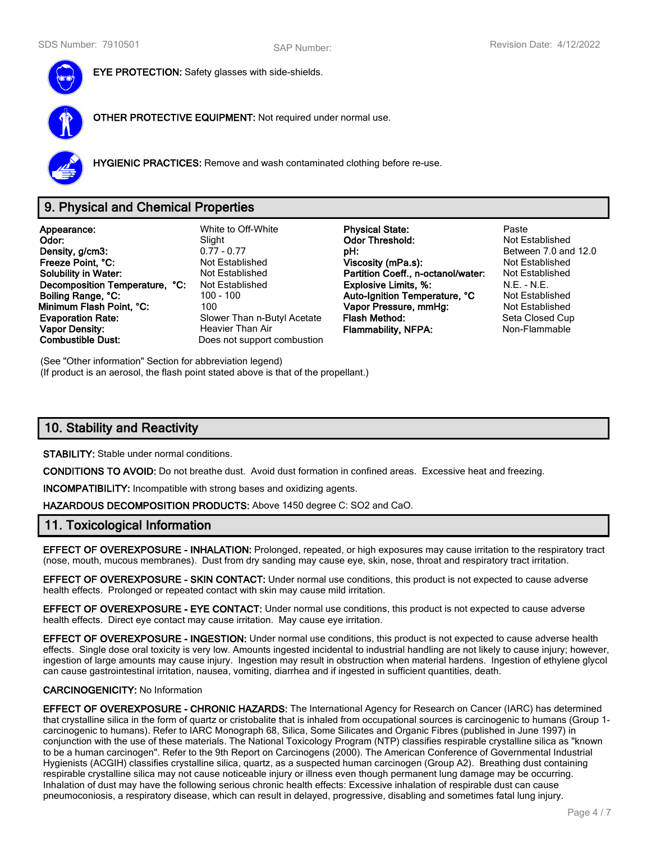

**EYE PROTECTION:** Safety glasses with side-shields.

**OTHER PROTECTIVE EQUIPMENT:** Not required under normal use.



**HYGIENIC PRACTICES:** Remove and wash contaminated clothing before re-use.

# **9. Physical and Chemical Properties**

**Appearance:** White to Off-White **Physical State:** Paste **Density, g/cm3: Density, g/cm3: philopheral properties and 12.0 pH: pH:** Between 7.0 and 12.0 **Properties and 12.0 philopheral properties and 12.0 properties and 12.0 properties and 12.0 properties and 12. Freeze Point, °C:** Not Established **Viscosity (mPa.s):** Not Established **Viscosity (mPa.s): Solubility in Water:** Not Established **Partition Coeff., n-octanol/water:** Not Established **Decomposition Temperature, °C:** Not Established **Explosive Limits, %:** N.E. - N.E. - N.E. **Boiling Range, °C:** 100 - 100 **Auto-Ignition Temperature, °C** Not Established **Minimum Flash Point, °C:** 100 **Vapor Pressure, mmHg:** Not Established **Evaporation Rate:** Slower Than n-Butyl Acetate **Flash Method:** Seta Closed Cup **Vapor Density: Heavier Than Air Flammability, NFPA:** Non-Flammable **Combustible Dust:** Does not support combustion

**Slight Odor Threshold:**<br>0.77 - 0.77 **DH:** Does not support combustion

(See "Other information" Section for abbreviation legend) (If product is an aerosol, the flash point stated above is that of the propellant.)

# **10. Stability and Reactivity**

**STABILITY:** Stable under normal conditions.

**CONDITIONS TO AVOID:** Do not breathe dust. Avoid dust formation in confined areas. Excessive heat and freezing.

**INCOMPATIBILITY:** Incompatible with strong bases and oxidizing agents.

**HAZARDOUS DECOMPOSITION PRODUCTS:** Above 1450 degree C: SO2 and CaO.

## **11. Toxicological Information**

**EFFECT OF OVEREXPOSURE - INHALATION:** Prolonged, repeated, or high exposures may cause irritation to the respiratory tract (nose, mouth, mucous membranes). Dust from dry sanding may cause eye, skin, nose, throat and respiratory tract irritation.

**EFFECT OF OVEREXPOSURE - SKIN CONTACT:** Under normal use conditions, this product is not expected to cause adverse health effects. Prolonged or repeated contact with skin may cause mild irritation.

**EFFECT OF OVEREXPOSURE - EYE CONTACT:** Under normal use conditions, this product is not expected to cause adverse health effects. Direct eye contact may cause irritation. May cause eye irritation.

**EFFECT OF OVEREXPOSURE - INGESTION:** Under normal use conditions, this product is not expected to cause adverse health effects. Single dose oral toxicity is very low. Amounts ingested incidental to industrial handling are not likely to cause injury; however, ingestion of large amounts may cause injury. Ingestion may result in obstruction when material hardens. Ingestion of ethylene glycol can cause gastrointestinal irritation, nausea, vomiting, diarrhea and if ingested in sufficient quantities, death.

### **CARCINOGENICITY:** No Information

**EFFECT OF OVEREXPOSURE - CHRONIC HAZARDS:** The International Agency for Research on Cancer (IARC) has determined that crystalline silica in the form of quartz or cristobalite that is inhaled from occupational sources is carcinogenic to humans (Group 1 carcinogenic to humans). Refer to IARC Monograph 68, Silica, Some Silicates and Organic Fibres (published in June 1997) in conjunction with the use of these materials. The National Toxicology Program (NTP) classifies respirable crystalline silica as "known to be a human carcinogen". Refer to the 9th Report on Carcinogens (2000). The American Conference of Governmental Industrial Hygienists (ACGIH) classifies crystalline silica, quartz, as a suspected human carcinogen (Group A2). Breathing dust containing respirable crystalline silica may not cause noticeable injury or illness even though permanent lung damage may be occurring. Inhalation of dust may have the following serious chronic health effects: Excessive inhalation of respirable dust can cause pneumoconiosis, a respiratory disease, which can result in delayed, progressive, disabling and sometimes fatal lung injury.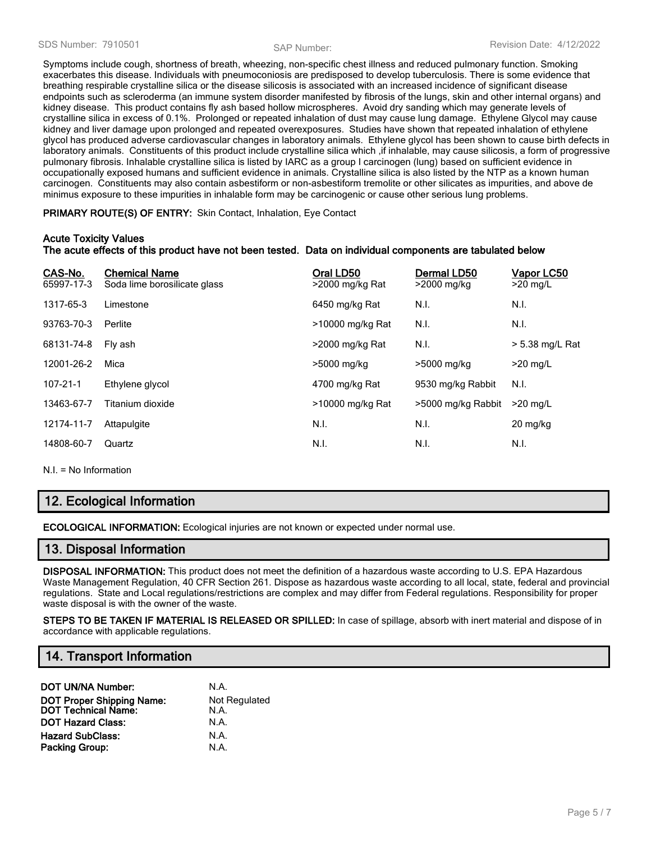Symptoms include cough, shortness of breath, wheezing, non-specific chest illness and reduced pulmonary function. Smoking exacerbates this disease. Individuals with pneumoconiosis are predisposed to develop tuberculosis. There is some evidence that breathing respirable crystalline silica or the disease silicosis is associated with an increased incidence of significant disease endpoints such as scleroderma (an immune system disorder manifested by fibrosis of the lungs, skin and other internal organs) and kidney disease. This product contains fly ash based hollow microspheres. Avoid dry sanding which may generate levels of crystalline silica in excess of 0.1%. Prolonged or repeated inhalation of dust may cause lung damage. Ethylene Glycol may cause kidney and liver damage upon prolonged and repeated overexposures. Studies have shown that repeated inhalation of ethylene glycol has produced adverse cardiovascular changes in laboratory animals. Ethylene glycol has been shown to cause birth defects in laboratory animals. Constituents of this product include crystalline silica which ,if inhalable, may cause silicosis, a form of progressive pulmonary fibrosis. Inhalable crystalline silica is listed by IARC as a group I carcinogen (lung) based on sufficient evidence in occupationally exposed humans and sufficient evidence in animals. Crystalline silica is also listed by the NTP as a known human carcinogen. Constituents may also contain asbestiform or non-asbestiform tremolite or other silicates as impurities, and above de minimus exposure to these impurities in inhalable form may be carcinogenic or cause other serious lung problems.

**PRIMARY ROUTE(S) OF ENTRY:** Skin Contact, Inhalation, Eye Contact

### **Acute Toxicity Values**

### **The acute effects of this product have not been tested. Data on individual components are tabulated below**

| CAS-No.<br>65997-17-3 | <b>Chemical Name</b><br>Soda lime borosilicate glass | Oral LD50<br>>2000 mg/kg Rat | Dermal LD50<br>>2000 mg/kg | Vapor LC50<br>$>20$ mg/L |
|-----------------------|------------------------------------------------------|------------------------------|----------------------------|--------------------------|
| 1317-65-3             | Limestone                                            | 6450 mg/kg Rat               | N.I.                       | N.I.                     |
| 93763-70-3            | Perlite                                              | >10000 mg/kg Rat             | N.I.                       | N.I.                     |
| 68131-74-8            | Fly ash                                              | >2000 mg/kg Rat              | N.I.                       | > 5.38 mg/L Rat          |
| 12001-26-2            | Mica                                                 | >5000 mg/kg                  | >5000 mg/kg                | $>20$ mg/L               |
| $107 - 21 - 1$        | Ethylene glycol                                      | 4700 mg/kg Rat               | 9530 mg/kg Rabbit          | N.I.                     |
| 13463-67-7            | Titanium dioxide                                     | >10000 mg/kg Rat             | >5000 mg/kg Rabbit         | $>20$ mg/L               |
| 12174-11-7            | Attapulgite                                          | N.I.                         | N.I.                       | $20$ mg/kg               |
| 14808-60-7            | Quartz                                               | N.I.                         | N.I.                       | N.I.                     |
|                       |                                                      |                              |                            |                          |

N.I. = No Information

# **12. Ecological Information**

**ECOLOGICAL INFORMATION:** Ecological injuries are not known or expected under normal use.

## **13. Disposal Information**

**DISPOSAL INFORMATION:** This product does not meet the definition of a hazardous waste according to U.S. EPA Hazardous Waste Management Regulation, 40 CFR Section 261. Dispose as hazardous waste according to all local, state, federal and provincial regulations. State and Local regulations/restrictions are complex and may differ from Federal regulations. Responsibility for proper waste disposal is with the owner of the waste.

**STEPS TO BE TAKEN IF MATERIAL IS RELEASED OR SPILLED:** In case of spillage, absorb with inert material and dispose of in accordance with applicable regulations.

# **14. Transport Information**

| <b>DOT UN/NA Number:</b>                                       | N.A.                  |
|----------------------------------------------------------------|-----------------------|
| <b>DOT Proper Shipping Name:</b><br><b>DOT Technical Name:</b> | Not Regulated<br>N.A. |
| <b>DOT Hazard Class:</b>                                       | N.A.                  |
| <b>Hazard SubClass:</b>                                        | N.A.                  |
| <b>Packing Group:</b>                                          | N.A.                  |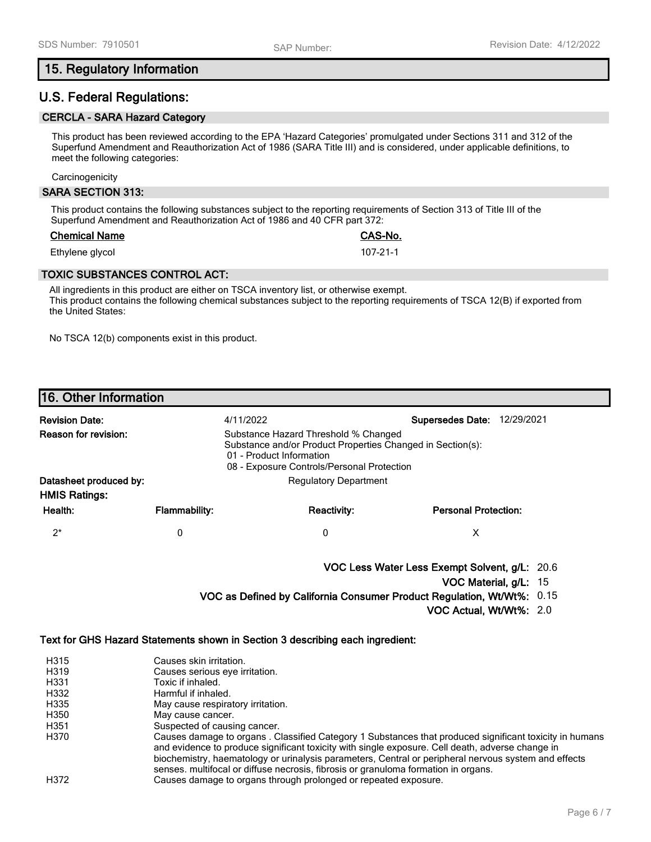## **15. Regulatory Information**

## **U.S. Federal Regulations:**

## **CERCLA - SARA Hazard Category**

This product has been reviewed according to the EPA 'Hazard Categories' promulgated under Sections 311 and 312 of the Superfund Amendment and Reauthorization Act of 1986 (SARA Title III) and is considered, under applicable definitions, to meet the following categories:

**Carcinogenicity** 

### **SARA SECTION 313:**

This product contains the following substances subject to the reporting requirements of Section 313 of Title III of the Superfund Amendment and Reauthorization Act of 1986 and 40 CFR part 372:

### **Chemical Name CAS-No.**

Ethylene glycol 107-21-1

## **TOXIC SUBSTANCES CONTROL ACT:**

All ingredients in this product are either on TSCA inventory list, or otherwise exempt. This product contains the following chemical substances subject to the reporting requirements of TSCA 12(B) if exported from the United States:

No TSCA 12(b) components exist in this product.

## **16. Other Information**

| <b>Revision Date:</b>                          |                      | 4/11/2022                                                                                                                                                                    | <b>Supersedes Date:</b><br>12/29/2021 |  |  |
|------------------------------------------------|----------------------|------------------------------------------------------------------------------------------------------------------------------------------------------------------------------|---------------------------------------|--|--|
| <b>Reason for revision:</b>                    |                      | Substance Hazard Threshold % Changed<br>Substance and/or Product Properties Changed in Section(s):<br>01 - Product Information<br>08 - Exposure Controls/Personal Protection |                                       |  |  |
| Datasheet produced by:<br><b>HMIS Ratings:</b> |                      | <b>Regulatory Department</b>                                                                                                                                                 |                                       |  |  |
| Health:                                        | <b>Flammability:</b> | <b>Reactivity:</b>                                                                                                                                                           | <b>Personal Protection:</b>           |  |  |
| 2*                                             | 0                    | 0                                                                                                                                                                            | х                                     |  |  |

**VOC Less Water Less Exempt Solvent, g/L:** 20.6

**VOC Material, g/L:** 15

**VOC as Defined by California Consumer Product Regulation, Wt/Wt%:** 0.15

**VOC Actual, Wt/Wt%:** 2.0

### **Text for GHS Hazard Statements shown in Section 3 describing each ingredient:**

| H315 | Causes skin irritation.                                                                                                                                                                                                                                                                                                                                                                                  |
|------|----------------------------------------------------------------------------------------------------------------------------------------------------------------------------------------------------------------------------------------------------------------------------------------------------------------------------------------------------------------------------------------------------------|
| H319 | Causes serious eye irritation.                                                                                                                                                                                                                                                                                                                                                                           |
| H331 | Toxic if inhaled.                                                                                                                                                                                                                                                                                                                                                                                        |
| H332 | Harmful if inhaled.                                                                                                                                                                                                                                                                                                                                                                                      |
| H335 | May cause respiratory irritation.                                                                                                                                                                                                                                                                                                                                                                        |
| H350 | May cause cancer.                                                                                                                                                                                                                                                                                                                                                                                        |
| H351 | Suspected of causing cancer.                                                                                                                                                                                                                                                                                                                                                                             |
| H370 | Causes damage to organs. Classified Category 1 Substances that produced significant toxicity in humans<br>and evidence to produce significant toxicity with single exposure. Cell death, adverse change in<br>biochemistry, haematology or urinalysis parameters, Central or peripheral nervous system and effects<br>senses. multifocal or diffuse necrosis, fibrosis or granuloma formation in organs. |
| H372 | Causes damage to organs through prolonged or repeated exposure.                                                                                                                                                                                                                                                                                                                                          |